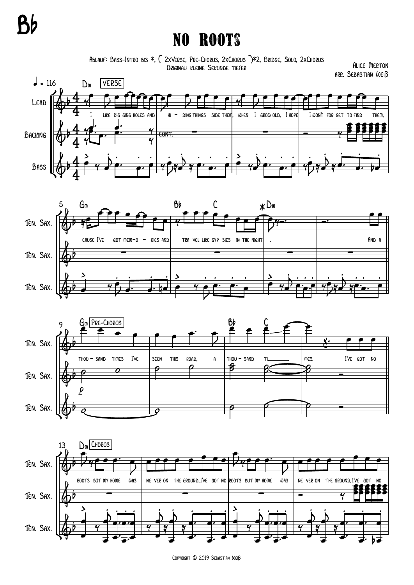## Bb

## No Roots

Ablauf: Bass-Intro bis \*, { 2xVerse, Pre-Chorus, 2xChorus }\*2, Bridge, Solo, 2xChorus Original: kleine Sekunde tiefer

Alice Merton arr. Sebastian Weiß









Copyright © 2019 Sebastian Weiß